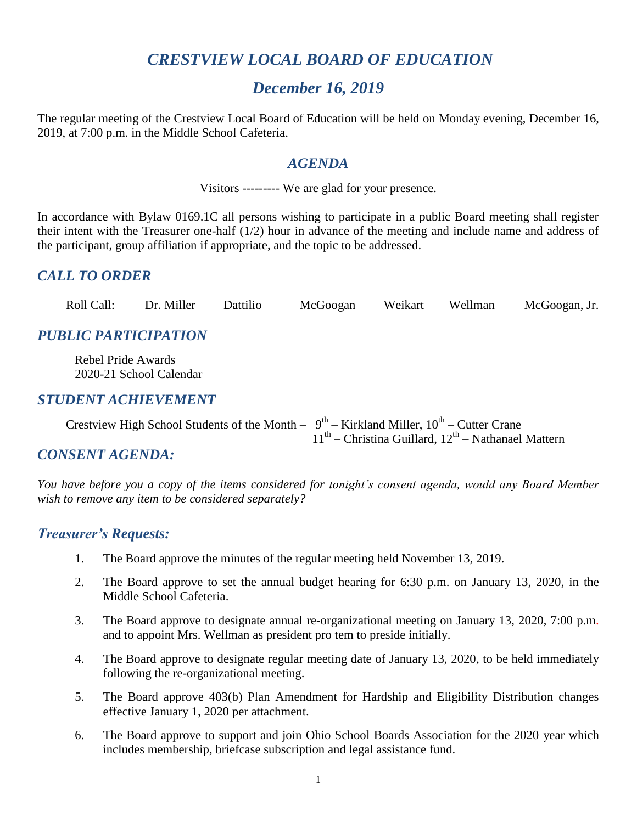# *CRESTVIEW LOCAL BOARD OF EDUCATION*

# *December 16, 2019*

The regular meeting of the Crestview Local Board of Education will be held on Monday evening, December 16, 2019, at 7:00 p.m. in the Middle School Cafeteria.

#### *AGENDA*

Visitors --------- We are glad for your presence.

In accordance with Bylaw 0169.1C all persons wishing to participate in a public Board meeting shall register their intent with the Treasurer one-half (1/2) hour in advance of the meeting and include name and address of the participant, group affiliation if appropriate, and the topic to be addressed.

## *CALL TO ORDER*

| Roll Call: | Dr. Miller | Dattilio |  |  |  | McGoogan Weikart Wellman McGoogan, Jr. |
|------------|------------|----------|--|--|--|----------------------------------------|
|------------|------------|----------|--|--|--|----------------------------------------|

## *PUBLIC PARTICIPATION*

 Rebel Pride Awards 2020-21 School Calendar

### *STUDENT ACHIEVEMENT*

Crestview High School Students of the Month  $-9^{th}$  – Kirkland Miller,  $10^{th}$  – Cutter Crane  $11<sup>th</sup>$  – Christina Guillard,  $12<sup>th</sup>$  – Nathanael Mattern

### *CONSENT AGENDA:*

*You have before you a copy of the items considered for tonight's consent agenda, would any Board Member wish to remove any item to be considered separately?*

### *Treasurer's Requests:*

- 1. The Board approve the minutes of the regular meeting held November 13, 2019.
- 2. The Board approve to set the annual budget hearing for 6:30 p.m. on January 13, 2020, in the Middle School Cafeteria.
- 3. The Board approve to designate annual re-organizational meeting on January 13, 2020, 7:00 p.m. and to appoint Mrs. Wellman as president pro tem to preside initially.
- 4. The Board approve to designate regular meeting date of January 13, 2020, to be held immediately following the re-organizational meeting.
- 5. The Board approve 403(b) Plan Amendment for Hardship and Eligibility Distribution changes effective January 1, 2020 per attachment.
- 6. The Board approve to support and join Ohio School Boards Association for the 2020 year which includes membership, briefcase subscription and legal assistance fund.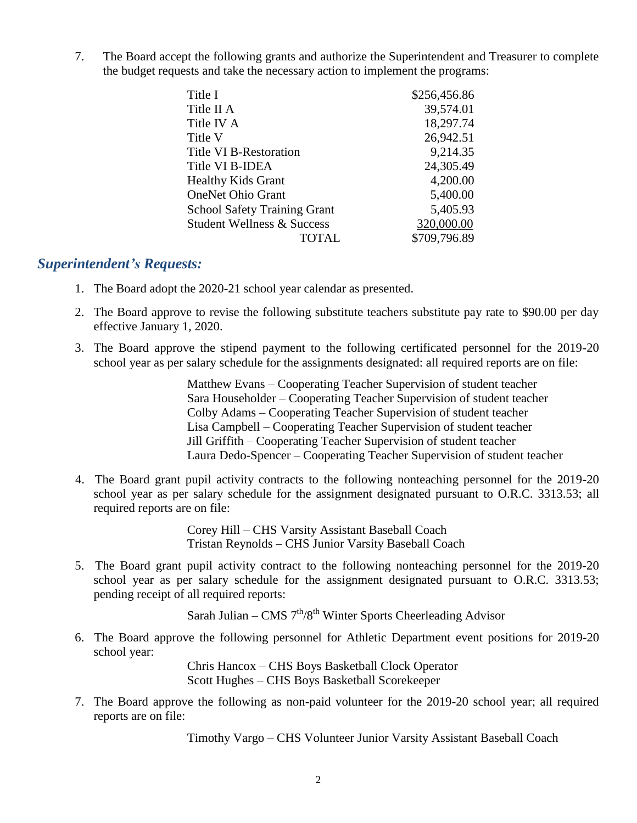7. The Board accept the following grants and authorize the Superintendent and Treasurer to complete the budget requests and take the necessary action to implement the programs:

| Title I                               | \$256,456.86 |
|---------------------------------------|--------------|
| Title II A                            | 39,574.01    |
| Title IV A                            | 18,297.74    |
| Title V                               | 26,942.51    |
| <b>Title VI B-Restoration</b>         | 9,214.35     |
| Title VI B-IDEA                       | 24,305.49    |
| <b>Healthy Kids Grant</b>             | 4,200.00     |
| <b>OneNet Ohio Grant</b>              | 5,400.00     |
| <b>School Safety Training Grant</b>   | 5,405.93     |
| <b>Student Wellness &amp; Success</b> | 320,000.00   |
| <b>TOTAL</b>                          | \$709,796.89 |

#### *Superintendent's Requests:*

- 1. The Board adopt the 2020-21 school year calendar as presented.
- 2. The Board approve to revise the following substitute teachers substitute pay rate to \$90.00 per day effective January 1, 2020.
- 3. The Board approve the stipend payment to the following certificated personnel for the 2019-20 school year as per salary schedule for the assignments designated: all required reports are on file:

Matthew Evans – Cooperating Teacher Supervision of student teacher Sara Householder – Cooperating Teacher Supervision of student teacher Colby Adams – Cooperating Teacher Supervision of student teacher Lisa Campbell – Cooperating Teacher Supervision of student teacher Jill Griffith – Cooperating Teacher Supervision of student teacher Laura Dedo-Spencer – Cooperating Teacher Supervision of student teacher

 4. The Board grant pupil activity contracts to the following nonteaching personnel for the 2019-20 school year as per salary schedule for the assignment designated pursuant to O.R.C. 3313.53; all required reports are on file:

> Corey Hill – CHS Varsity Assistant Baseball Coach Tristan Reynolds – CHS Junior Varsity Baseball Coach

5. The Board grant pupil activity contract to the following nonteaching personnel for the 2019-20 school year as per salary schedule for the assignment designated pursuant to O.R.C. 3313.53; pending receipt of all required reports:

Sarah Julian – CMS  $7<sup>th</sup>/8<sup>th</sup>$  Winter Sports Cheerleading Advisor

6. The Board approve the following personnel for Athletic Department event positions for 2019-20 school year:

> Chris Hancox – CHS Boys Basketball Clock Operator Scott Hughes – CHS Boys Basketball Scorekeeper

7. The Board approve the following as non-paid volunteer for the 2019-20 school year; all required reports are on file:

Timothy Vargo – CHS Volunteer Junior Varsity Assistant Baseball Coach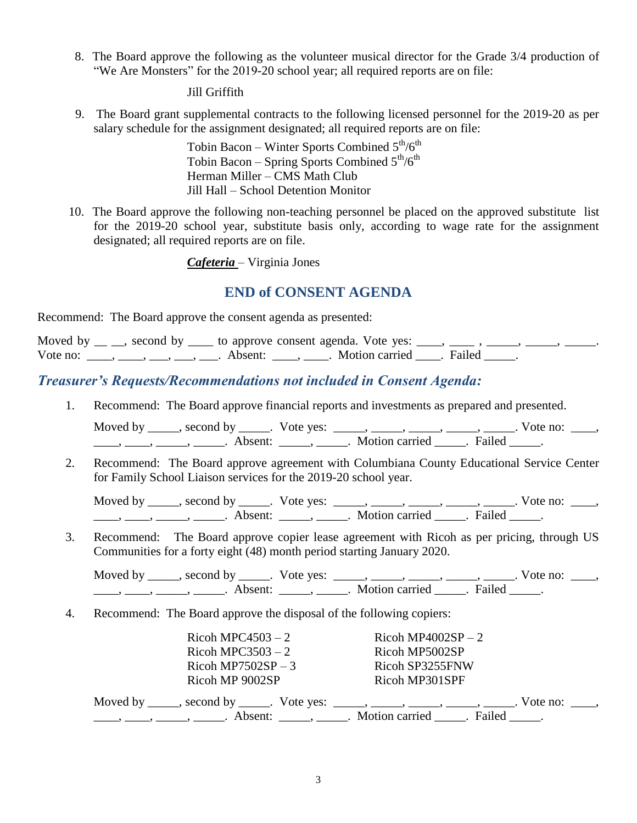8. The Board approve the following as the volunteer musical director for the Grade 3/4 production of "We Are Monsters" for the 2019-20 school year; all required reports are on file:

#### Jill Griffith

 9. The Board grant supplemental contracts to the following licensed personnel for the 2019-20 as per salary schedule for the assignment designated; all required reports are on file:

> Tobin Bacon – Winter Sports Combined  $5<sup>th</sup>/6<sup>th</sup>$ Tobin Bacon – Spring Sports Combined  $5<sup>th</sup>/6<sup>th</sup>$ Herman Miller – CMS Math Club Jill Hall – School Detention Monitor

 10. The Board approve the following non-teaching personnel be placed on the approved substitute list for the 2019-20 school year, substitute basis only, according to wage rate for the assignment designated; all required reports are on file.

#### *Cafeteria* – Virginia Jones

### **END of CONSENT AGENDA**

Recommend: The Board approve the consent agenda as presented:

| Moved by $\mu$ , second by $\mu$ to approve consent agenda. Vote yes: $\mu$ , $\mu$ , $\mu$ , $\mu$ , $\mu$ , $\mu$ , $\mu$ , $\mu$ , $\mu$ , $\mu$ , $\mu$ , $\mu$ , $\mu$ , $\mu$ , $\mu$ , $\mu$ , $\mu$ , $\mu$ , $\mu$ , $\mu$ , $\mu$ , $\mu$ , $\mu$ , $\mu$ , $\mu$ , $\mu$ |  |  |  |  |
|-------------------------------------------------------------------------------------------------------------------------------------------------------------------------------------------------------------------------------------------------------------------------------------|--|--|--|--|
| Vote no: $\frac{1}{\sqrt{1-\frac{1}{2}}}, \frac{1}{\sqrt{1-\frac{1}{2}}}, \frac{1}{\sqrt{1-\frac{1}{2}}}$ . Absent: $\frac{1}{\sqrt{1-\frac{1}{2}}}$ . Motion carried $\frac{1}{\sqrt{1-\frac{1}{2}}}$ . Failed                                                                     |  |  |  |  |

### *Treasurer's Requests/Recommendations not included in Consent Agenda:*

1. Recommend: The Board approve financial reports and investments as prepared and presented.

Moved by \_\_\_\_\_, second by \_\_\_\_\_. Vote yes:  $\frac{1}{\sqrt{2}}$ , \_\_\_\_, \_\_\_\_, \_\_\_\_, \_\_\_\_. Vote no: \_\_\_, \_\_\_\_\_, \_\_\_\_\_\_, \_\_\_\_\_\_\_. Absent: \_\_\_\_\_\_, \_\_\_\_\_\_. Motion carried \_\_\_\_\_\_. Failed \_\_\_\_\_.

2. Recommend: The Board approve agreement with Columbiana County Educational Service Center for Family School Liaison services for the 2019-20 school year.

Moved by \_\_\_\_\_, second by \_\_\_\_\_. Vote yes: \_\_\_\_\_, \_\_\_\_\_, \_\_\_\_\_, \_\_\_\_\_, \_\_\_\_\_. Vote no: \_\_\_\_,  $\underbrace{\hspace{1cm}}$ ,  $\underbrace{\hspace{1cm}}$ ,  $\underbrace{\hspace{1cm}}$  Absent:  $\underbrace{\hspace{1cm}}$ ,  $\underbrace{\hspace{1cm}}$ . Motion carried  $\underbrace{\hspace{1cm}}$ . Failed  $\underbrace{\hspace{1cm}}$ .

3. Recommend: The Board approve copier lease agreement with Ricoh as per pricing, through US Communities for a forty eight (48) month period starting January 2020.

Moved by \_\_\_\_\_, second by \_\_\_\_\_. Vote yes: \_\_\_\_\_, \_\_\_\_\_, \_\_\_\_\_, \_\_\_\_\_, \_\_\_\_\_. Vote no: \_\_\_\_, \_\_\_\_, \_\_\_\_\_, \_\_\_\_\_\_, Absent: \_\_\_\_\_, \_\_\_\_\_. Motion carried \_\_\_\_\_. Failed \_\_\_\_.

4. Recommend: The Board approve the disposal of the following copiers:

| Ricoh MPC4503 $-2$                                                                  | Ricoh MP4002SP $-2$                   |
|-------------------------------------------------------------------------------------|---------------------------------------|
| Ricoh MPC3503 $-2$                                                                  | Ricoh MP5002SP                        |
| Ricoh MP7502SP $-3$                                                                 | Ricoh SP3255FNW                       |
| Ricoh MP 9002SP                                                                     | Ricoh MP301SPF                        |
| Moved by ______, second by ______. Vote yes: ______, ______, ______, ______, ______ | $. \nabla$ vote no: $\theta$ ,        |
|                                                                                     | Absent: , . Motion carried . Failed . |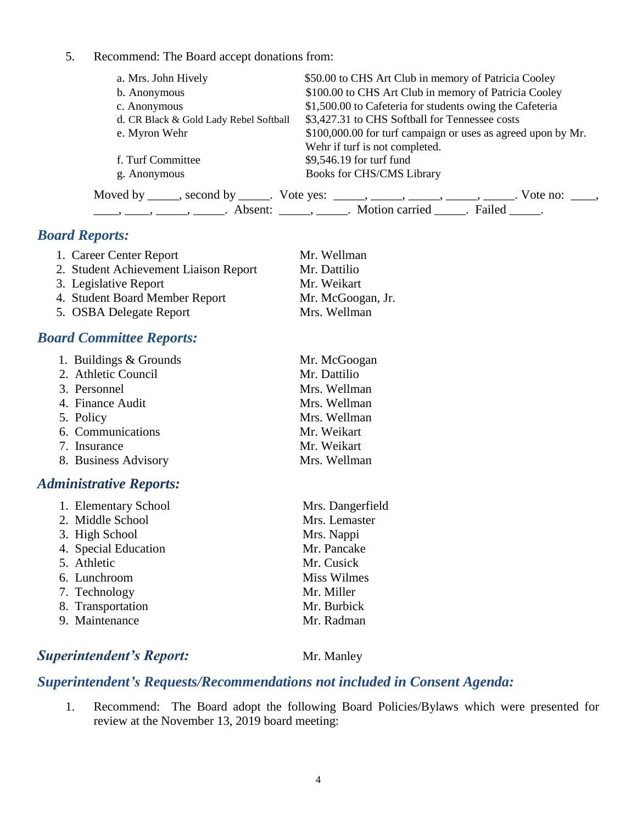#### 5. Recommend: The Board accept donations from:

| a. Mrs. John Hively                    | \$50.00 to CHS Art Club in memory of Patricia Cooley                                          |
|----------------------------------------|-----------------------------------------------------------------------------------------------|
| b. Anonymous                           | \$100.00 to CHS Art Club in memory of Patricia Cooley                                         |
| c. Anonymous                           | \$1,500.00 to Cafeteria for students owing the Cafeteria                                      |
| d. CR Black & Gold Lady Rebel Softball | \$3,427.31 to CHS Softball for Tennessee costs                                                |
| e. Myron Wehr                          | \$100,000.00 for turf campaign or uses as agreed upon by Mr.                                  |
|                                        | Wehr if turf is not completed.                                                                |
| f. Turf Committee                      | \$9,546.19 for turf fund                                                                      |
| g. Anonymous                           | <b>Books for CHS/CMS Library</b>                                                              |
|                                        | Moved by _____, second by _____. Vote yes: _____, _____, _____, _____, _____. Vote no: ____,  |
|                                        | $\dots, \dots, \dots, \dots$ Absent: $\dots, \dots$ Motion carried $\dots$ . Failed $\dots$ . |

## *Board Reports:*

| 1. Career Center Report               | Mr. Wellman       |
|---------------------------------------|-------------------|
| 2. Student Achievement Liaison Report | Mr. Dattilio      |
| 3. Legislative Report                 | Mr. Weikart       |
| 4. Student Board Member Report        | Mr. McGoogan, Jr. |
| 5. OSBA Delegate Report               | Mrs. Wellman      |

## *Board Committee Reports:*

| 1. Buildings & Grounds | Mr. McGoogan |
|------------------------|--------------|
| 2. Athletic Council    | Mr. Dattilio |
| 3. Personnel           | Mrs. Wellman |
| 4. Finance Audit       | Mrs. Wellman |
| 5. Policy              | Mrs. Wellman |
| 6. Communications      | Mr. Weikart  |
| 7. Insurance           | Mr. Weikart  |
| 8. Business Advisory   | Mrs. Wellman |

### *Administrative Reports:*

| 1. Elementary School | Mrs. Dangerfield   |
|----------------------|--------------------|
| 2. Middle School     | Mrs. Lemaster      |
| 3. High School       | Mrs. Nappi         |
| 4. Special Education | Mr. Pancake        |
| 5. Athletic          | Mr. Cusick         |
| 6. Lunchroom         | <b>Miss Wilmes</b> |
| 7. Technology        | Mr. Miller         |
| 8. Transportation    | Mr. Burbick        |
| 9. Maintenance       | Mr. Radman         |
|                      |                    |

## **Superintendent's Report:** Mr. Manley

## *Superintendent's Requests/Recommendations not included in Consent Agenda:*

1. Recommend: The Board adopt the following Board Policies/Bylaws which were presented for review at the November 13, 2019 board meeting: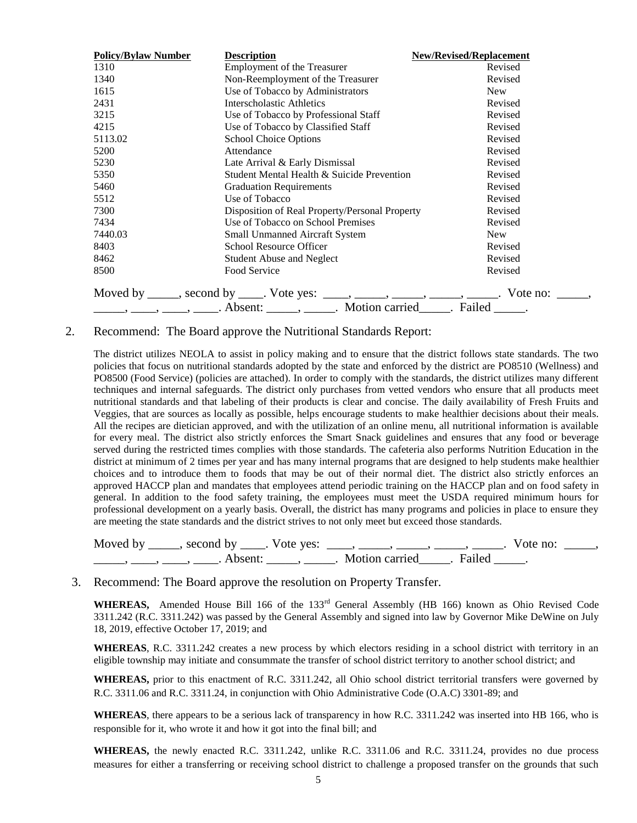| <b>Policy/Bylaw Number</b> | <b>Description</b>                                                                                                                                            | <b>New/Revised/Replacement</b> |
|----------------------------|---------------------------------------------------------------------------------------------------------------------------------------------------------------|--------------------------------|
| 1310                       | <b>Employment of the Treasurer</b>                                                                                                                            | Revised                        |
| 1340                       | Non-Reemployment of the Treasurer                                                                                                                             | Revised                        |
| 1615                       | Use of Tobacco by Administrators                                                                                                                              | <b>New</b>                     |
| 2431                       | Interscholastic Athletics                                                                                                                                     | Revised                        |
| 3215                       | Use of Tobacco by Professional Staff                                                                                                                          | Revised                        |
| 4215                       | Use of Tobacco by Classified Staff                                                                                                                            | Revised                        |
| 5113.02                    | <b>School Choice Options</b>                                                                                                                                  | Revised                        |
| 5200                       | Attendance                                                                                                                                                    | Revised                        |
| 5230                       | Late Arrival & Early Dismissal                                                                                                                                | Revised                        |
| 5350                       | Student Mental Health & Suicide Prevention                                                                                                                    | Revised                        |
| 5460                       | <b>Graduation Requirements</b>                                                                                                                                | Revised                        |
| 5512                       | Use of Tobacco                                                                                                                                                | Revised                        |
| 7300                       | Disposition of Real Property/Personal Property                                                                                                                | Revised                        |
| 7434                       | Use of Tobacco on School Premises                                                                                                                             | Revised                        |
| 7440.03                    | <b>Small Unmanned Aircraft System</b>                                                                                                                         | <b>New</b>                     |
| 8403                       | School Resource Officer                                                                                                                                       | Revised                        |
| 8462                       | <b>Student Abuse and Neglect</b>                                                                                                                              | Revised                        |
| 8500                       | Food Service                                                                                                                                                  | Revised                        |
|                            |                                                                                                                                                               |                                |
|                            | Moved by _____, second by ____. Vote yes: _____, _____, _____, _____, _____, Vote no: _____, _____, Absent: _____, _____. Motion carried _____. Failed _____. |                                |

#### 2. Recommend: The Board approve the Nutritional Standards Report:

The district utilizes NEOLA to assist in policy making and to ensure that the district follows state standards. The two policies that focus on nutritional standards adopted by the state and enforced by the district are PO8510 (Wellness) and PO8500 (Food Service) (policies are attached). In order to comply with the standards, the district utilizes many different techniques and internal safeguards. The district only purchases from vetted vendors who ensure that all products meet nutritional standards and that labeling of their products is clear and concise. The daily availability of Fresh Fruits and Veggies, that are sources as locally as possible, helps encourage students to make healthier decisions about their meals. All the recipes are dietician approved, and with the utilization of an online menu, all nutritional information is available for every meal. The district also strictly enforces the Smart Snack guidelines and ensures that any food or beverage served during the restricted times complies with those standards. The cafeteria also performs Nutrition Education in the district at minimum of 2 times per year and has many internal programs that are designed to help students make healthier choices and to introduce them to foods that may be out of their normal diet. The district also strictly enforces an approved HACCP plan and mandates that employees attend periodic training on the HACCP plan and on food safety in general. In addition to the food safety training, the employees must meet the USDA required minimum hours for professional development on a yearly basis. Overall, the district has many programs and policies in place to ensure they are meeting the state standards and the district strives to not only meet but exceed those standards.

| Moved by second by . Vote yes: |                         | vote no: |  |
|--------------------------------|-------------------------|----------|--|
| Absent <sup>.</sup>            | Motion carried . Failed |          |  |

#### 3. Recommend: The Board approve the resolution on Property Transfer.

WHEREAS, Amended House Bill 166 of the 133<sup>rd</sup> General Assembly (HB 166) known as Ohio Revised Code 3311.242 (R.C. 3311.242) was passed by the General Assembly and signed into law by Governor Mike DeWine on July 18, 2019, effective October 17, 2019; and

**WHEREAS**, R.C. 3311.242 creates a new process by which electors residing in a school district with territory in an eligible township may initiate and consummate the transfer of school district territory to another school district; and

**WHEREAS,** prior to this enactment of R.C. 3311.242, all Ohio school district territorial transfers were governed by R.C. 3311.06 and R.C. 3311.24, in conjunction with Ohio Administrative Code (O.A.C) 3301-89; and

**WHEREAS**, there appears to be a serious lack of transparency in how R.C. 3311.242 was inserted into HB 166, who is responsible for it, who wrote it and how it got into the final bill; and

**WHEREAS,** the newly enacted R.C. 3311.242, unlike R.C. 3311.06 and R.C. 3311.24, provides no due process measures for either a transferring or receiving school district to challenge a proposed transfer on the grounds that such